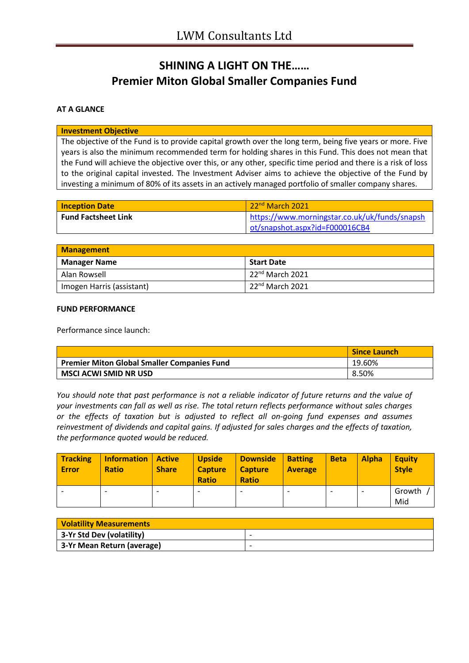# **SHINING A LIGHT ON THE…… Premier Miton Global Smaller Companies Fund**

### **AT A GLANCE**

#### **Investment Objective**

The objective of the Fund is to provide capital growth over the long term, being five years or more. Five years is also the minimum recommended term for holding shares in this Fund. This does not mean that the Fund will achieve the objective over this, or any other, specific time period and there is a risk of loss to the original capital invested. The Investment Adviser aims to achieve the objective of the Fund by investing a minimum of 80% of its assets in an actively managed portfolio of smaller company shares.

| <b>Inception Date</b>      | 22 <sup>nd</sup> March 2021                   |  |
|----------------------------|-----------------------------------------------|--|
| <b>Fund Factsheet Link</b> | https://www.morningstar.co.uk/uk/funds/snapsh |  |
|                            | ot/snapshot.aspx?id=F000016CB4                |  |

| <b>Management</b>         |                                 |  |
|---------------------------|---------------------------------|--|
| <b>Manager Name</b>       | <b>Start Date</b>               |  |
| Alan Rowsell              | $\pm 22^{\text{nd}}$ March 2021 |  |
| Imogen Harris (assistant) | 22 <sup>nd</sup> March 2021     |  |

#### **FUND PERFORMANCE**

Performance since launch:

|                                                    | <b>Since Launch</b> |
|----------------------------------------------------|---------------------|
| <b>Premier Miton Global Smaller Companies Fund</b> | 19.60%              |
| MSCI ACWI SMID NR USD                              | 8.50%               |

*You should note that past performance is not a reliable indicator of future returns and the value of your investments can fall as well as rise. The total return reflects performance without sales charges or the effects of taxation but is adjusted to reflect all on-going fund expenses and assumes reinvestment of dividends and capital gains. If adjusted for sales charges and the effects of taxation, the performance quoted would be reduced.*

| <b>Tracking</b><br><b>Error</b> | Information<br><b>Ratio</b> | <b>Active</b><br><b>Share</b> | <b>Upside</b><br><b>Capture</b><br><b>Ratio</b> | <b>Downside</b><br><b>Capture</b><br><b>Ratio</b> | <b>Batting</b><br><b>Average</b> | <b>Beta</b>              | <b>Alpha</b> | <b>Equity</b><br><b>Style</b> |
|---------------------------------|-----------------------------|-------------------------------|-------------------------------------------------|---------------------------------------------------|----------------------------------|--------------------------|--------------|-------------------------------|
|                                 |                             |                               |                                                 | ٠                                                 |                                  | $\overline{\phantom{a}}$ | ۰            | Growth<br>Mid                 |

| <b>Volatility Measurements</b> |                          |  |
|--------------------------------|--------------------------|--|
| 3-Yr Std Dev (volatility)      | $\overline{\phantom{a}}$ |  |
| 3-Yr Mean Return (average)     |                          |  |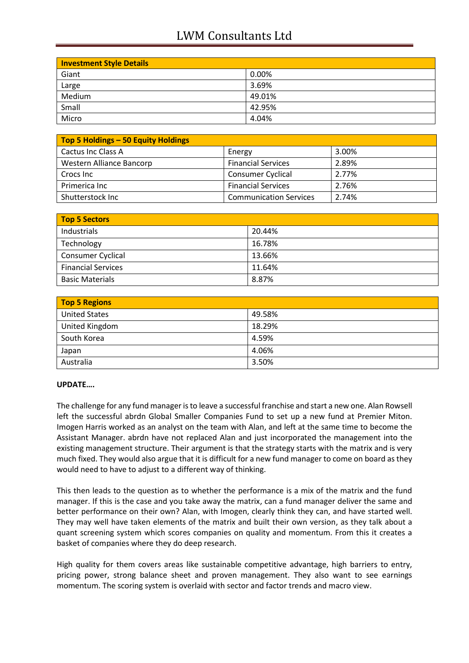## LWM Consultants Ltd

| <b>Investment Style Details</b> |        |  |
|---------------------------------|--------|--|
| Giant                           | 0.00%  |  |
| Large                           | 3.69%  |  |
| Medium                          | 49.01% |  |
| Small                           | 42.95% |  |
| Micro                           | 4.04%  |  |

| Top 5 Holdings - 50 Equity Holdings |                               |       |
|-------------------------------------|-------------------------------|-------|
| Cactus Inc Class A                  | Energy                        | 3.00% |
| Western Alliance Bancorp            | <b>Financial Services</b>     | 2.89% |
| Crocs Inc                           | <b>Consumer Cyclical</b>      | 2.77% |
| Primerica Inc                       | <b>Financial Services</b>     | 2.76% |
| Shutterstock Inc                    | <b>Communication Services</b> | 2.74% |

| <b>Top 5 Sectors</b>      |        |  |
|---------------------------|--------|--|
| Industrials               | 20.44% |  |
| Technology                | 16.78% |  |
| <b>Consumer Cyclical</b>  | 13.66% |  |
| <b>Financial Services</b> | 11.64% |  |
| <b>Basic Materials</b>    | 8.87%  |  |

| <b>Top 5 Regions</b> |        |  |
|----------------------|--------|--|
| <b>United States</b> | 49.58% |  |
| United Kingdom       | 18.29% |  |
| South Korea          | 4.59%  |  |
| Japan                | 4.06%  |  |
| Australia            | 3.50%  |  |

### **UPDATE….**

The challenge for any fund manager is to leave a successful franchise and start a new one. Alan Rowsell left the successful abrdn Global Smaller Companies Fund to set up a new fund at Premier Miton. Imogen Harris worked as an analyst on the team with Alan, and left at the same time to become the Assistant Manager. abrdn have not replaced Alan and just incorporated the management into the existing management structure. Their argument is that the strategy starts with the matrix and is very much fixed. They would also argue that it is difficult for a new fund manager to come on board as they would need to have to adjust to a different way of thinking.

This then leads to the question as to whether the performance is a mix of the matrix and the fund manager. If this is the case and you take away the matrix, can a fund manager deliver the same and better performance on their own? Alan, with Imogen, clearly think they can, and have started well. They may well have taken elements of the matrix and built their own version, as they talk about a quant screening system which scores companies on quality and momentum. From this it creates a basket of companies where they do deep research.

High quality for them covers areas like sustainable competitive advantage, high barriers to entry, pricing power, strong balance sheet and proven management. They also want to see earnings momentum. The scoring system is overlaid with sector and factor trends and macro view.